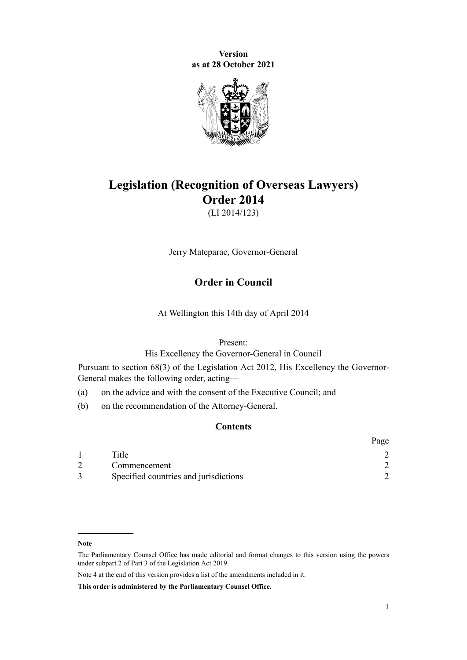**Version as at 28 October 2021**



# **Legislation (Recognition of Overseas Lawyers) Order 2014**

(LI 2014/123)

Jerry Mateparae, Governor-General

# **Order in Council**

At Wellington this 14th day of April 2014

#### Present:

His Excellency the Governor-General in Council

Pursuant to [section 68\(3\)](http://legislation.govt.nz/pdflink.aspx?id=DLM3398206) of the [Legislation Act 2012,](http://legislation.govt.nz/pdflink.aspx?id=DLM2997643) His Excellency the Governor-General makes the following order, acting—

(a) on the advice and with the consent of the Executive Council; and

(b) on the recommendation of the Attorney-General.

# **Contents**

|                                       | Page |
|---------------------------------------|------|
| Title                                 |      |
| Commencement                          |      |
| Specified countries and jurisdictions |      |

**This order is administered by the Parliamentary Counsel Office.**

**Note**

The Parliamentary Counsel Office has made editorial and format changes to this version using the powers under [subpart 2](http://legislation.govt.nz/pdflink.aspx?id=DLM7298371) of Part 3 of the Legislation Act 2019.

Note 4 at the end of this version provides a list of the amendments included in it.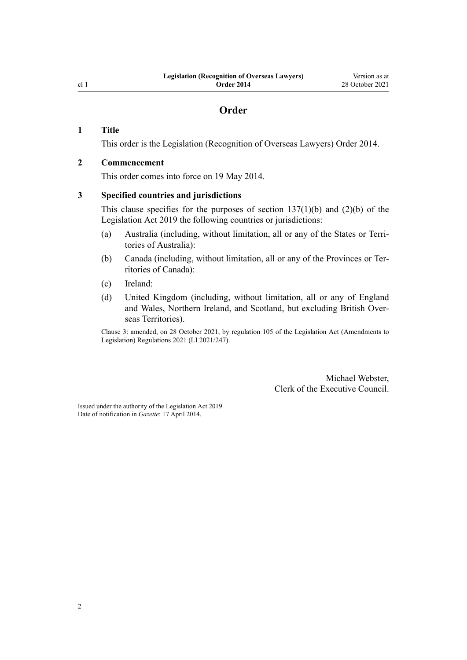# **Order**

## <span id="page-1-0"></span>**1 Title**

This order is the Legislation (Recognition of Overseas Lawyers) Order 2014.

## **2 Commencement**

This order comes into force on 19 May 2014.

# **3 Specified countries and jurisdictions**

This clause specifies for the purposes of section  $137(1)(b)$  and  $(2)(b)$  of the Legislation Act 2019 the following countries or jurisdictions:

- (a) Australia (including, without limitation, all or any of the States or Terri‐ tories of Australia):
- (b) Canada (including, without limitation, all or any of the Provinces or Ter‐ ritories of Canada):
- (c) Ireland:
- (d) United Kingdom (including, without limitation, all or any of England and Wales, Northern Ireland, and Scotland, but excluding British Over‐ seas Territories).

Clause 3: amended, on 28 October 2021, by [regulation 105](http://legislation.govt.nz/pdflink.aspx?id=LMS504324) of the Legislation Act (Amendments to Legislation) Regulations 2021 (LI 2021/247).

> Michael Webster, Clerk of the Executive Council.

Issued under the authority of the [Legislation Act 2019](http://legislation.govt.nz/pdflink.aspx?id=DLM7298104). Date of notification in *Gazette*: 17 April 2014.